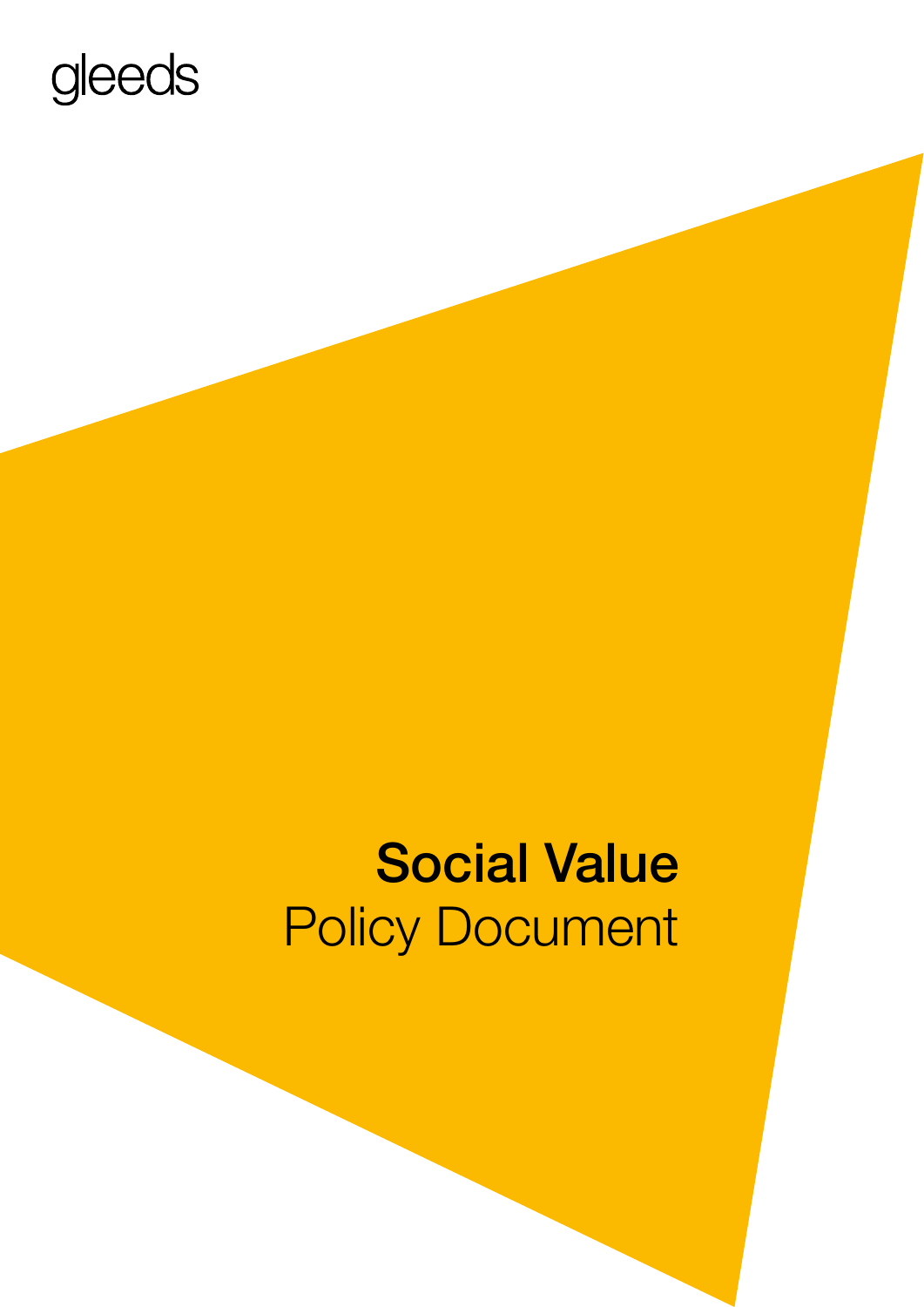# gleeds

# Social Value Policy Document